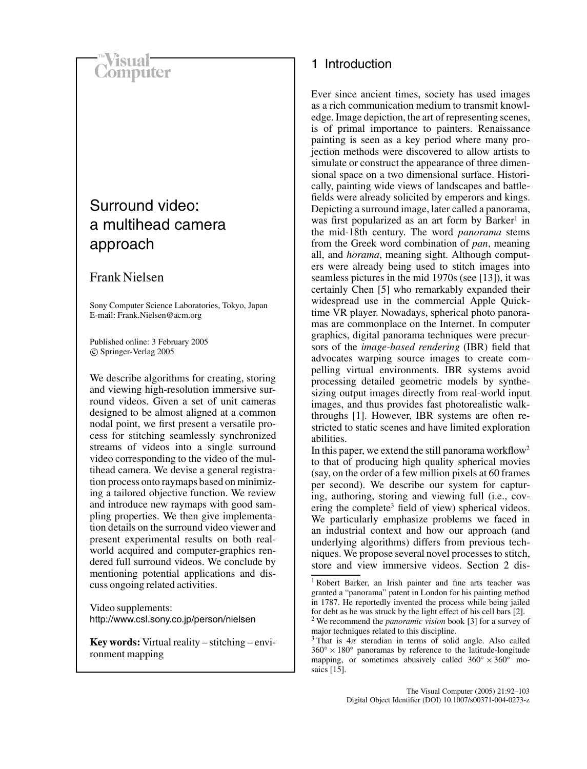# **Computer**

## Surround video: a multihead camera approach

## Frank Nielsen

Sony Computer Science Laboratories, Tokyo, Japan E-mail: Frank.Nielsen@acm.org

Published online: 3 February 2005 c Springer-Verlag 2005

We describe algorithms for creating, storing and viewing high-resolution immersive surround videos. Given a set of unit cameras designed to be almost aligned at a common nodal point, we first present a versatile process for stitching seamlessly synchronized streams of videos into a single surround video corresponding to the video of the multihead camera. We devise a general registration process onto raymaps based on minimizing a tailored objective function. We review and introduce new raymaps with good sampling properties. We then give implementation details on the surround video viewer and present experimental results on both realworld acquired and computer-graphics rendered full surround videos. We conclude by mentioning potential applications and discuss ongoing related activities.

Video supplements: http://www.csl.sony.co.jp/person/nielsen

**Key words:** Virtual reality – stitching – environment mapping

## 1 Introduction

Ever since ancient times, society has used images as a rich communication medium to transmit knowledge. Image depiction, the art of representing scenes, is of primal importance to painters. Renaissance painting is seen as a key period where many projection methods were discovered to allow artists to simulate or construct the appearance of three dimensional space on a two dimensional surface. Historically, painting wide views of landscapes and battlefields were already solicited by emperors and kings. Depicting a surround image, later called a panorama, was first popularized as an art form by Barker<sup>1</sup> in the mid-18th century. The word *panorama* stems from the Greek word combination of *pan*, meaning all, and *horama*, meaning sight. Although computers were already being used to stitch images into seamless pictures in the mid 1970s (see [13]), it was certainly Chen [5] who remarkably expanded their widespread use in the commercial Apple Quicktime VR player. Nowadays, spherical photo panoramas are commonplace on the Internet. In computer graphics, digital panorama techniques were precursors of the *image-based rendering* (IBR) field that advocates warping source images to create compelling virtual environments. IBR systems avoid processing detailed geometric models by synthesizing output images directly from real-world input images, and thus provides fast photorealistic walkthroughs [1]. However, IBR systems are often restricted to static scenes and have limited exploration abilities.

In this paper, we extend the still panorama workflow<sup>2</sup> to that of producing high quality spherical movies (say, on the order of a few million pixels at 60 frames per second). We describe our system for capturing, authoring, storing and viewing full (i.e., covering the complete<sup>3</sup> field of view) spherical videos. We particularly emphasize problems we faced in an industrial context and how our approach (and underlying algorithms) differs from previous techniques. We propose several novel processes to stitch, store and view immersive videos. Section 2 dis-

<sup>1</sup> Robert Barker, an Irish painter and fine arts teacher was granted a "panorama" patent in London for his painting method in 1787. He reportedly invented the process while being jailed for debt as he was struck by the light effect of his cell bars [2].

<sup>2</sup> We recommend the *panoramic vision* book [3] for a survey of major techniques related to this discipline.

<sup>&</sup>lt;sup>3</sup> That is  $4\pi$  steradian in terms of solid angle. Also called  $360° \times 180°$  panoramas by reference to the latitude-longitude mapping, or sometimes abusively called  $360° \times 360°$  mosaics [15].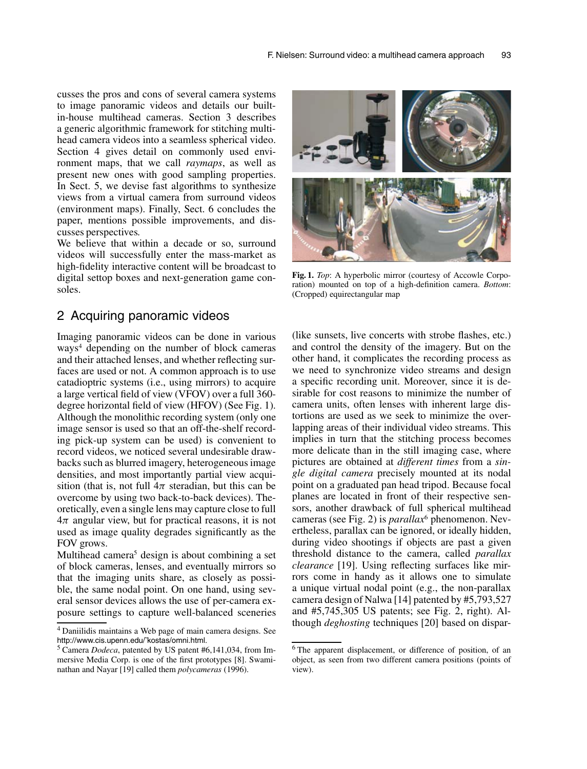cusses the pros and cons of several camera systems to image panoramic videos and details our builtin-house multihead cameras. Section 3 describes a generic algorithmic framework for stitching multihead camera videos into a seamless spherical video. Section 4 gives detail on commonly used environment maps, that we call *raymaps*, as well as present new ones with good sampling properties. In Sect. 5, we devise fast algorithms to synthesize views from a virtual camera from surround videos (environment maps). Finally, Sect. 6 concludes the paper, mentions possible improvements, and discusses perspectives.

We believe that within a decade or so, surround videos will successfully enter the mass-market as high-fidelity interactive content will be broadcast to digital settop boxes and next-generation game consoles.

## 2 Acquiring panoramic videos

Imaging panoramic videos can be done in various ways<sup>4</sup> depending on the number of block cameras and their attached lenses, and whether reflecting surfaces are used or not. A common approach is to use catadioptric systems (i.e., using mirrors) to acquire a large vertical field of view (VFOV) over a full 360 degree horizontal field of view (HFOV) (See Fig. 1). Although the monolithic recording system (only one image sensor is used so that an off-the-shelf recording pick-up system can be used) is convenient to record videos, we noticed several undesirable drawbacks such as blurred imagery, heterogeneous image densities, and most importantly partial view acquisition (that is, not full  $4\pi$  steradian, but this can be overcome by using two back-to-back devices). Theoretically, even a single lens may capture close to full  $4\pi$  angular view, but for practical reasons, it is not used as image quality degrades significantly as the FOV grows.

Multihead camera<sup>5</sup> design is about combining a set of block cameras, lenses, and eventually mirrors so that the imaging units share, as closely as possible, the same nodal point. On one hand, using several sensor devices allows the use of per-camera exposure settings to capture well-balanced sceneries



**Fig. 1.** *Top*: A hyperbolic mirror (courtesy of Accowle Corporation) mounted on top of a high-definition camera. *Bottom*: (Cropped) equirectangular map

(like sunsets, live concerts with strobe flashes, etc.) and control the density of the imagery. But on the other hand, it complicates the recording process as we need to synchronize video streams and design a specific recording unit. Moreover, since it is desirable for cost reasons to minimize the number of camera units, often lenses with inherent large distortions are used as we seek to minimize the overlapping areas of their individual video streams. This implies in turn that the stitching process becomes more delicate than in the still imaging case, where pictures are obtained at *different times* from a *single digital camera* precisely mounted at its nodal point on a graduated pan head tripod. Because focal planes are located in front of their respective sensors, another drawback of full spherical multihead cameras (see Fig. 2) is *parallax*<sup>6</sup> phenomenon. Nevertheless, parallax can be ignored, or ideally hidden, during video shootings if objects are past a given threshold distance to the camera, called *parallax clearance* [19]. Using reflecting surfaces like mirrors come in handy as it allows one to simulate a unique virtual nodal point (e.g., the non-parallax camera design of Nalwa [14] patented by #5,793,527 and #5,745,305 US patents; see Fig. 2, right). Although *deghosting* techniques [20] based on dispar-

<sup>4</sup> Daniilidis maintains a Web page of main camera designs. See http://www.cis.upenn.edu/˜kostas/omni.html. <sup>5</sup> Camera *Dodeca*, patented by US patent #6,141,034, from Im-

mersive Media Corp. is one of the first prototypes [8]. Swaminathan and Nayar [19] called them *polycameras* (1996).

<sup>&</sup>lt;sup>6</sup> The apparent displacement, or difference of position, of an object, as seen from two different camera positions (points of view).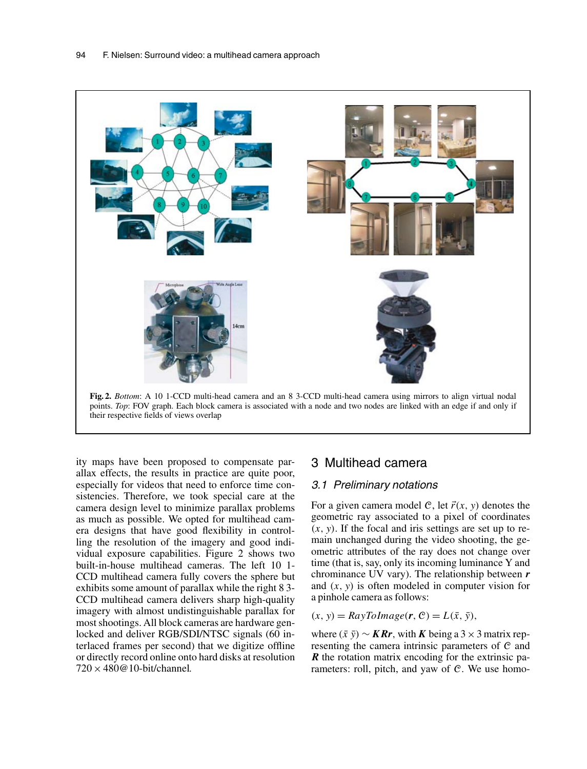

ity maps have been proposed to compensate parallax effects, the results in practice are quite poor, especially for videos that need to enforce time consistencies. Therefore, we took special care at the camera design level to minimize parallax problems as much as possible. We opted for multihead camera designs that have good flexibility in controlling the resolution of the imagery and good individual exposure capabilities. Figure 2 shows two built-in-house multihead cameras. The left 10 1- CCD multihead camera fully covers the sphere but exhibits some amount of parallax while the right 8 3- CCD multihead camera delivers sharp high-quality imagery with almost undistinguishable parallax for most shootings. All block cameras are hardware genlocked and deliver RGB/SDI/NTSC signals (60 interlaced frames per second) that we digitize offline or directly record online onto hard disks at resolution  $720 \times 480$  @ 10-bit/channel.

## 3 Multihead camera

#### 3.1 Preliminary notations

For a given camera model C, let  $\vec{r}(x, y)$  denotes the geometric ray associated to a pixel of coordinates  $(x, y)$ . If the focal and iris settings are set up to remain unchanged during the video shooting, the geometric attributes of the ray does not change over time (that is, say, only its incoming luminance Y and chrominance UV vary). The relationship between *r* and  $(x, y)$  is often modeled in computer vision for a pinhole camera as follows:

 $(x, y) = RayTolmage(r, C) = L(\bar{x}, \bar{y}),$ 

where  $(\bar{x} \bar{y}) \sim KRr$ , with *K* being a 3 × 3 matrix representing the camera intrinsic parameters of C and *R* the rotation matrix encoding for the extrinsic parameters: roll, pitch, and yaw of C. We use homo-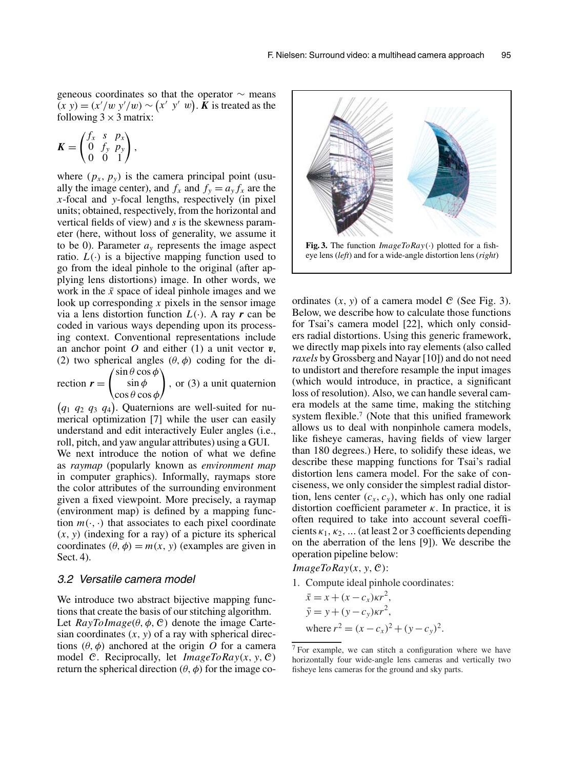geneous coordinates so that the operator ∼ means  $(x, y) = (x'/w) y'/w$  ∼  $(x', y', w)$ .  $\hat{\mathbf{K}}$  is treated as the following  $3 \times 3$  matrix:

$$
\boldsymbol{K} = \begin{pmatrix} f_x & s & p_x \\ 0 & f_y & p_y \\ 0 & 0 & 1 \end{pmatrix},
$$

where  $(p_x, p_y)$  is the camera principal point (usually the image center), and  $f_x$  and  $f_y = a_y f_x$  are the *x*-focal and *y*-focal lengths, respectively (in pixel units; obtained, respectively, from the horizontal and vertical fields of view) and *s* is the skewness parameter (here, without loss of generality, we assume it to be 0). Parameter  $a<sub>y</sub>$  represents the image aspect ratio.  $L(\cdot)$  is a bijective mapping function used to go from the ideal pinhole to the original (after applying lens distortions) image. In other words, we work in the  $\bar{x}$  space of ideal pinhole images and we look up corresponding *x* pixels in the sensor image via a lens distortion function  $L(\cdot)$ . A ray r can be coded in various ways depending upon its processing context. Conventional representations include an anchor point *O* and either (1) a unit vector *v*, (2) two spherical angles  $(\theta, \phi)$  coding for the di- $\sin \theta \cos \phi$ 

$$
= \begin{pmatrix} \sin \theta \cos \varphi \\ \sin \phi \end{pmatrix} \text{ or } 0
$$

$$
\text{rection } r = \begin{pmatrix} \sin \phi \\ \cos \theta \cos \phi \end{pmatrix}, \text{ or (3) a unit quaternion}
$$

 $(q_1 \t q_2 \t q_3 \t q_4)$ . Quaternions are well-suited for numerical optimization [7] while the user can easily understand and edit interactively Euler angles (i.e., roll, pitch, and yaw angular attributes) using a GUI. We next introduce the notion of what we define as *raymap* (popularly known as *environment map* in computer graphics). Informally, raymaps store the color attributes of the surrounding environment given a fixed viewpoint. More precisely, a raymap (environment map) is defined by a mapping function  $m(\cdot, \cdot)$  that associates to each pixel coordinate  $(x, y)$  (indexing for a ray) of a picture its spherical coordinates  $(\theta, \phi) = m(x, y)$  (examples are given in Sect. 4).

#### 3.2 Versatile camera model

We introduce two abstract bijective mapping functions that create the basis of our stitching algorithm. Let  $RayTolmage(\theta, \phi, \mathcal{C})$  denote the image Cartesian coordinates  $(x, y)$  of a ray with spherical directions  $(\theta, \phi)$  anchored at the origin O for a camera model C. Reciprocally, let *ImageToRay*(*x*, *y*,C) return the spherical direction  $(\theta, \phi)$  for the image co-



ordinates  $(x, y)$  of a camera model C (See Fig. 3). Below, we describe how to calculate those functions for Tsai's camera model [22], which only considers radial distortions. Using this generic framework, we directly map pixels into ray elements (also called *raxels* by Grossberg and Nayar [10]) and do not need to undistort and therefore resample the input images (which would introduce, in practice, a significant loss of resolution). Also, we can handle several camera models at the same time, making the stitching system flexible.<sup>7</sup> (Note that this unified framework allows us to deal with nonpinhole camera models, like fisheye cameras, having fields of view larger than 180 degrees.) Here, to solidify these ideas, we describe these mapping functions for Tsai's radial distortion lens camera model. For the sake of conciseness, we only consider the simplest radial distortion, lens center  $(c_x, c_y)$ , which has only one radial distortion coefficient parameter  $\kappa$ . In practice, it is often required to take into account several coefficients  $\kappa_1, \kappa_2, \ldots$  (at least 2 or 3 coefficients depending on the aberration of the lens [9]). We describe the operation pipeline below:

 $ImageToRay(x, y, C)$ :

1. Compute ideal pinhole coordinates:

$$
\begin{aligned} \n\bar{x} &= x + (x - c_x)\kappa r^2, \\ \n\bar{y} &= y + (y - c_y)\kappa r^2, \\ \n\text{where } r^2 &= (x - c_x)^2 + (y - c_y)^2. \n\end{aligned}
$$

 $<sup>7</sup>$  For example, we can stitch a configuration where we have</sup> horizontally four wide-angle lens cameras and vertically two fisheye lens cameras for the ground and sky parts.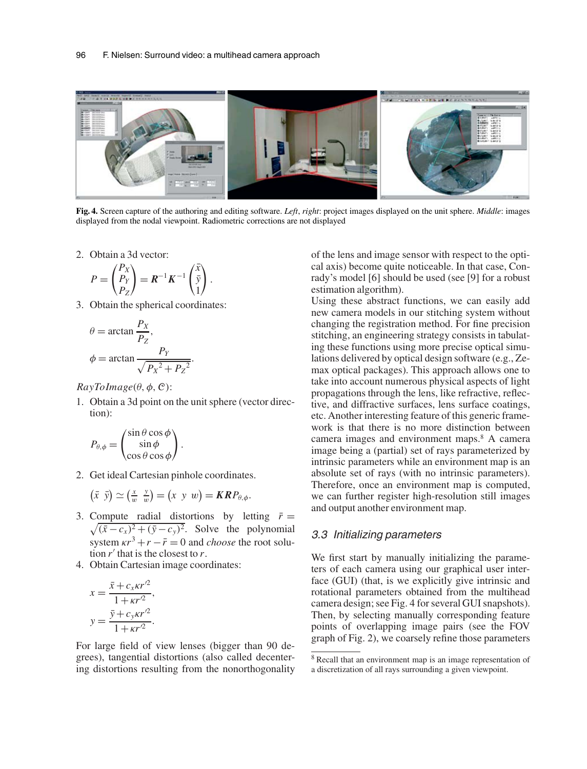

**Fig. 4.** Screen capture of the authoring and editing software. *Left*, *right*: project images displayed on the unit sphere. *Middle*: images displayed from the nodal viewpoint. Radiometric corrections are not displayed

2. Obtain a 3d vector:

$$
P = \begin{pmatrix} P_X \\ P_Y \\ P_Z \end{pmatrix} = \mathbf{R}^{-1} \mathbf{K}^{-1} \begin{pmatrix} \bar{x} \\ \bar{y} \\ 1 \end{pmatrix}.
$$

3. Obtain the spherical coordinates:

$$
\theta = \arctan \frac{P_X}{P_Z},
$$
  

$$
\phi = \arctan \frac{P_Y}{\sqrt{P_X^2 + P_Z^2}}.
$$

 $RayTolmage(\theta, \phi, \mathcal{C})$ :

1. Obtain a 3d point on the unit sphere (vector direction):

$$
P_{\theta,\phi} = \begin{pmatrix} \sin\theta\cos\phi \\ \sin\phi \\ \cos\theta\cos\phi \end{pmatrix}.
$$

2. Get ideal Cartesian pinhole coordinates.

$$
(\bar{x} \ \bar{y}) \simeq (\frac{x}{w} \ \frac{y}{w}) = (x \ y \ w) = \textbf{K}\textbf{R}P_{\theta,\phi}.
$$

- 3. Compute radial distortions by letting  $\bar{r}$  =  $\sqrt{(\bar{x}-c_x)^2+(\bar{y}-c_y)^2}$ . Solve the polynomial system  $\kappa r^3 + r - \bar{r} = 0$  and *choose* the root solution  $r'$  that is the closest to  $r$ .
- 4. Obtain Cartesian image coordinates:

$$
x = \frac{\bar{x} + c_x \kappa r'^2}{1 + \kappa r'^2},
$$

$$
y = \frac{\bar{y} + c_y \kappa r'^2}{1 + \kappa r'^2}.
$$

For large field of view lenses (bigger than 90 degrees), tangential distortions (also called decentering distortions resulting from the nonorthogonality of the lens and image sensor with respect to the optical axis) become quite noticeable. In that case, Conrady's model [6] should be used (see [9] for a robust estimation algorithm).

Using these abstract functions, we can easily add new camera models in our stitching system without changing the registration method. For fine precision stitching, an engineering strategy consists in tabulating these functions using more precise optical simulations delivered by optical design software (e.g., Zemax optical packages). This approach allows one to take into account numerous physical aspects of light propagations through the lens, like refractive, reflective, and diffractive surfaces, lens surface coatings, etc. Another interesting feature of this generic framework is that there is no more distinction between camera images and environment maps.8 A camera image being a (partial) set of rays parameterized by intrinsic parameters while an environment map is an absolute set of rays (with no intrinsic parameters). Therefore, once an environment map is computed, we can further register high-resolution still images and output another environment map.

#### 3.3 Initializing parameters

We first start by manually initializing the parameters of each camera using our graphical user interface (GUI) (that, is we explicitly give intrinsic and rotational parameters obtained from the multihead camera design; see Fig. 4 for several GUI snapshots). Then, by selecting manually corresponding feature points of overlapping image pairs (see the FOV graph of Fig. 2), we coarsely refine those parameters

<sup>8</sup> Recall that an environment map is an image representation of a discretization of all rays surrounding a given viewpoint.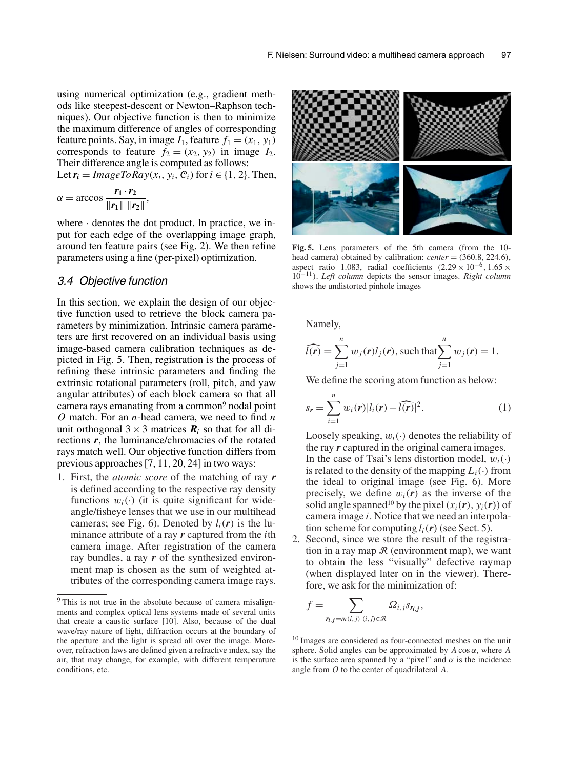using numerical optimization (e.g., gradient methods like steepest-descent or Newton–Raphson techniques). Our objective function is then to minimize the maximum difference of angles of corresponding feature points. Say, in image  $I_1$ , feature  $f_1 = (x_1, y_1)$ corresponds to feature  $f_2 = (x_2, y_2)$  in image  $I_2$ . Their difference angle is computed as follows: Let  $r_i = ImageToRay(x_i, y_i, C_i)$  for  $i \in \{1, 2\}$ . Then,

$$
\alpha = \arccos \frac{r_1 \cdot r_2}{\|r_1\| \|r_2\|},
$$

where  $\cdot$  denotes the dot product. In practice, we input for each edge of the overlapping image graph, around ten feature pairs (see Fig. 2). We then refine parameters using a fine (per-pixel) optimization.

#### 3.4 Objective function

In this section, we explain the design of our objective function used to retrieve the block camera parameters by minimization. Intrinsic camera parameters are first recovered on an individual basis using image-based camera calibration techniques as depicted in Fig. 5. Then, registration is the process of refining these intrinsic parameters and finding the extrinsic rotational parameters (roll, pitch, and yaw angular attributes) of each block camera so that all camera rays emanating from a common<sup>9</sup> nodal point *O* match. For an *n*-head camera, we need to find *n* unit orthogonal  $3 \times 3$  matrices  $\mathbf{R}_i$  so that for all directions *r*, the luminance/chromacies of the rotated rays match well. Our objective function differs from previous approaches [7, 11, 20, 24] in two ways:

1. First, the *atomic score* of the matching of ray *r* is defined according to the respective ray density functions  $w_i(\cdot)$  (it is quite significant for wideangle/fisheye lenses that we use in our multihead cameras; see Fig. 6). Denoted by  $l_i(\mathbf{r})$  is the luminance attribute of a ray *r* captured from the *i*th camera image. After registration of the camera ray bundles, a ray *r* of the synthesized environment map is chosen as the sum of weighted attributes of the corresponding camera image rays.



**Fig. 5.** Lens parameters of the 5th camera (from the 10 head camera) obtained by calibration: *center* = (360.8, 224.6), aspect ratio 1.083, radial coefficients  $(2.29 \times 10^{-6}, 1.65 \times$ 10−11). *Left column* depicts the sensor images. *Right column* shows the undistorted pinhole images

Namely,

$$
\widehat{l(\mathbf{r})} = \sum_{j=1}^{n} w_j(\mathbf{r}) l_j(\mathbf{r}), \text{ such that } \sum_{j=1}^{n} w_j(\mathbf{r}) = 1.
$$

We define the scoring atom function as below:

$$
s_r = \sum_{i=1}^n w_i(r)|l_i(r) - \widehat{l(r)}|^2.
$$
 (1)

Loosely speaking,  $w_i(\cdot)$  denotes the reliability of the ray *r* captured in the original camera images. In the case of Tsai's lens distortion model,  $w_i(\cdot)$ is related to the density of the mapping  $L_i(\cdot)$  from the ideal to original image (see Fig. 6). More precisely, we define  $w_i(r)$  as the inverse of the solid angle spanned<sup>10</sup> by the pixel  $(x_i(\mathbf{r}), y_i(\mathbf{r}))$  of camera image *i*. Notice that we need an interpolation scheme for computing  $l_i(\mathbf{r})$  (see Sect. 5).

2. Second, since we store the result of the registration in a ray map  $\mathcal R$  (environment map), we want to obtain the less "visually" defective raymap (when displayed later on in the viewer). Therefore, we ask for the minimization of:

$$
f = \sum_{r_{i,j}=m(i,j)\mid (i,j)\in \mathcal{R}} \Omega_{i,j} s_{r_{i,j}},
$$

<sup>&</sup>lt;sup>9</sup> This is not true in the absolute because of camera misalignments and complex optical lens systems made of several units that create a caustic surface [10]. Also, because of the dual wave/ray nature of light, diffraction occurs at the boundary of the aperture and the light is spread all over the image. Moreover, refraction laws are defined given a refractive index, say the air, that may change, for example, with different temperature conditions, etc.

<sup>10</sup> Images are considered as four-connected meshes on the unit sphere. Solid angles can be approximated by *A* cos α, where *A* is the surface area spanned by a "pixel" and  $\alpha$  is the incidence angle from *O* to the center of quadrilateral *A*.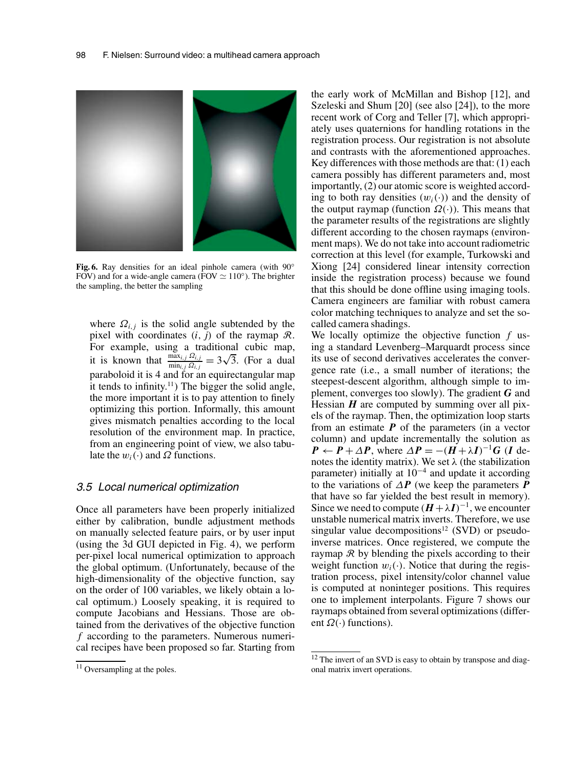

Fig. 6. Ray densities for an ideal pinhole camera (with 90<sup>°</sup> FOV) and for a wide-angle camera (FOV  $\simeq 110^{\circ}$ ). The brighter the sampling, the better the sampling

where  $\Omega_{i,j}$  is the solid angle subtended by the pixel with coordinates  $(i, j)$  of the raymap  $\mathcal{R}$ . For example, using a traditional cubic map, For example, using a traditional cubic map,<br>it is known that  $\frac{\max_{i,j} Q_{i,j}}{\min_{i,j} Q_{i,j}} = 3\sqrt{3}$ . (For a dual paraboloid it is 4 and for an equirectangular map it tends to infinity.<sup>11</sup>) The bigger the solid angle, the more important it is to pay attention to finely optimizing this portion. Informally, this amount gives mismatch penalties according to the local resolution of the environment map. In practice, from an engineering point of view, we also tabulate the  $w_i(·)$  and Ω functions.

#### 3.5 Local numerical optimization

Once all parameters have been properly initialized either by calibration, bundle adjustment methods on manually selected feature pairs, or by user input (using the 3d GUI depicted in Fig. 4), we perform per-pixel local numerical optimization to approach the global optimum. (Unfortunately, because of the high-dimensionality of the objective function, say on the order of 100 variables, we likely obtain a local optimum.) Loosely speaking, it is required to compute Jacobians and Hessians. Those are obtained from the derivatives of the objective function *f* according to the parameters. Numerous numerical recipes have been proposed so far. Starting from

the early work of McMillan and Bishop [12], and Szeleski and Shum [20] (see also [24]), to the more recent work of Corg and Teller [7], which appropriately uses quaternions for handling rotations in the registration process. Our registration is not absolute and contrasts with the aforementioned approaches. Key differences with those methods are that: (1) each camera possibly has different parameters and, most importantly, (2) our atomic score is weighted according to both ray densities  $(w_i(\cdot))$  and the density of the output raymap (function  $\Omega(\cdot)$ ). This means that the parameter results of the registrations are slightly different according to the chosen raymaps (environment maps). We do not take into account radiometric correction at this level (for example, Turkowski and Xiong [24] considered linear intensity correction inside the registration process) because we found that this should be done offline using imaging tools. Camera engineers are familiar with robust camera color matching techniques to analyze and set the socalled camera shadings.

We locally optimize the objective function *f* using a standard Levenberg–Marquardt process since its use of second derivatives accelerates the convergence rate (i.e., a small number of iterations; the steepest-descent algorithm, although simple to implement, converges too slowly). The gradient *G* and Hessian  $H$  are computed by summing over all pixels of the raymap. Then, the optimization loop starts from an estimate  $P$  of the parameters (in a vector column) and update incrementally the solution as  $P \leftarrow P + \Delta P$ , where  $\Delta P = -(H + \lambda I)^{-1}G$  (*I* denotes the identity matrix). We set  $\lambda$  (the stabilization parameter) initially at  $10^{-4}$  and update it according to the variations of ∆*P* (we keep the parameters *P* that have so far yielded the best result in memory). Since we need to compute  $(H + \lambda I)^{-1}$ , we encounter unstable numerical matrix inverts. Therefore, we use singular value decompositions<sup>12</sup> (SVD) or pseudoinverse matrices. Once registered, we compute the raymap  $\mathcal R$  by blending the pixels according to their weight function  $w_i(\cdot)$ . Notice that during the registration process, pixel intensity/color channel value is computed at noninteger positions. This requires one to implement interpolants. Figure 7 shows our raymaps obtained from several optimizations (different  $\Omega(\cdot)$  functions).

<sup>&</sup>lt;sup>11</sup> Oversampling at the poles.

<sup>&</sup>lt;sup>12</sup> The invert of an SVD is easy to obtain by transpose and diagonal matrix invert operations.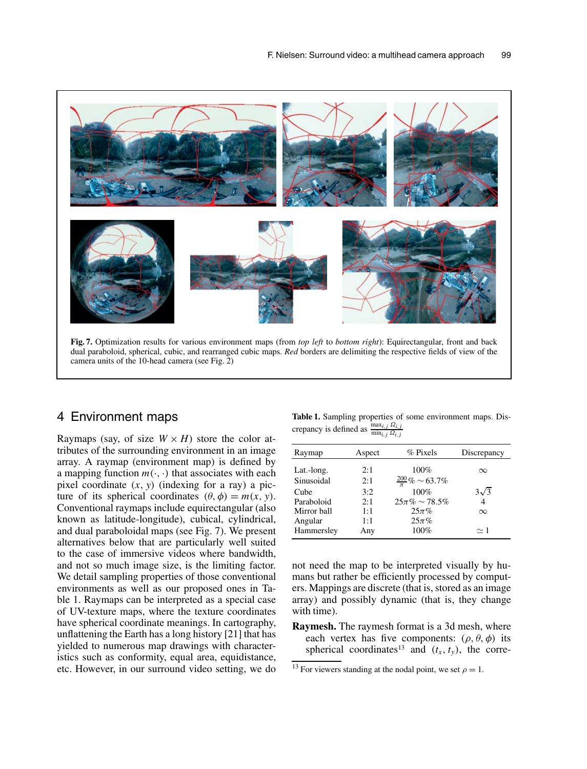

**Fig. 7.** Optimization results for various environment maps (from *top left* to *bottom right*): Equirectangular, front and back dual paraboloid, spherical, cubic, and rearranged cubic maps. *Red* borders are delimiting the respective fields of view of the camera units of the 10-head camera (see Fig. 2)

## 4 Environment maps

Raymaps (say, of size  $W \times H$ ) store the color attributes of the surrounding environment in an image array. A raymap (environment map) is defined by a mapping function  $m(\cdot, \cdot)$  that associates with each pixel coordinate (*x*, *y*) (indexing for a ray) a picture of its spherical coordinates  $(\theta, \phi) = m(x, y)$ . Conventional raymaps include equirectangular (also known as latitude-longitude), cubical, cylindrical, and dual paraboloidal maps (see Fig. 7). We present alternatives below that are particularly well suited to the case of immersive videos where bandwidth, and not so much image size, is the limiting factor. We detail sampling properties of those conventional environments as well as our proposed ones in Table 1. Raymaps can be interpreted as a special case of UV-texture maps, where the texture coordinates have spherical coordinate meanings. In cartography, unflattening the Earth has a long history [21] that has yielded to numerous map drawings with characteristics such as conformity, equal area, equidistance, etc. However, in our surround video setting, we do

**Table 1.** Sampling properties of some environment maps. Discrepancy is defined as  $\frac{\max_{i,j} \Omega_{i,j}}{\min_{i,j} \Omega_{i,j}}$ 

| Raymap      | Aspect | % Pixels                      | Discrepancy    |
|-------------|--------|-------------------------------|----------------|
|             |        |                               |                |
| Lat.-long.  | 2:1    | 100%                          | $\infty$       |
| Sinusoidal  | 2:1    | $\frac{200}{5}\% \sim 63.7\%$ |                |
|             |        |                               |                |
| Cube        | 3:2    | 100%                          | $3\sqrt{3}$    |
| Paraboloid  | 2:1    | $25\pi\% \sim 78.5\%$         | $\overline{4}$ |
| Mirror ball | 1:1    | $25\pi\%$                     | $\infty$       |
| Angular     | 1:1    | $25\pi\%$                     |                |
|             |        |                               | $\sim$ 1       |
| Hammersley  | Any    | 100%                          |                |

not need the map to be interpreted visually by humans but rather be efficiently processed by computers. Mappings are discrete (that is, stored as an image array) and possibly dynamic (that is, they change with time).

**Raymesh.** The raymesh format is a 3d mesh, where each vertex has five components:  $(\rho, \theta, \phi)$  its spherical coordinates<sup>13</sup> and  $(t_x, t_y)$ , the corre-

<sup>&</sup>lt;sup>13</sup> For viewers standing at the nodal point, we set  $\rho = 1$ .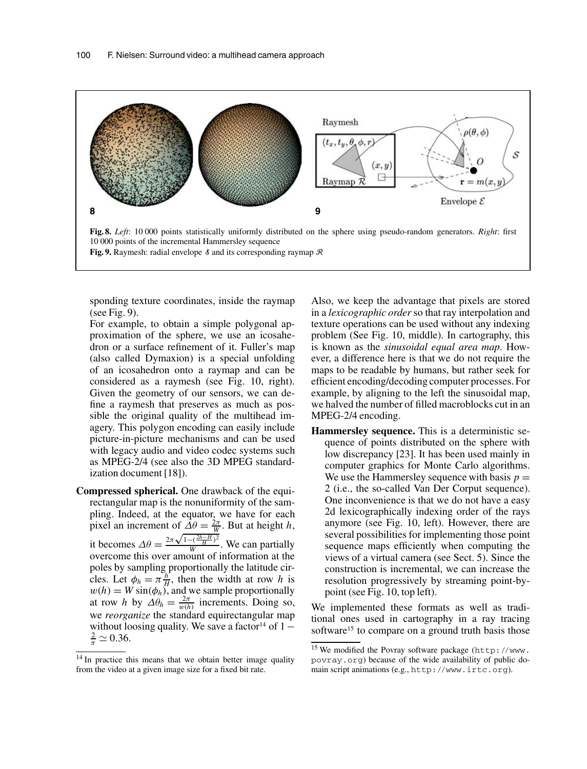

sponding texture coordinates, inside the raymap (see Fig. 9).

For example, to obtain a simple polygonal approximation of the sphere, we use an icosahedron or a surface refinement of it. Fuller's map (also called Dymaxion) is a special unfolding of an icosahedron onto a raymap and can be considered as a raymesh (see Fig. 10, right). Given the geometry of our sensors, we can define a raymesh that preserves as much as possible the original quality of the multihead imagery. This polygon encoding can easily include picture-in-picture mechanisms and can be used with legacy audio and video codec systems such as MPEG-2/4 (see also the 3D MPEG standardization document [18]).

**Compressed spherical.** One drawback of the equirectangular map is the nonuniformity of the sampling. Indeed, at the equator, we have for each pixel an increment of  $\overrightarrow{\hat{A}\theta} = \frac{2\pi}{W}$ . But at height *h*, it becomes  $\Delta \theta = \frac{2\pi \sqrt{1-(\frac{2h-\overline{H}}{H})^2}}{W}$ . We can partially overcome this over amount of information at the poles by sampling proportionally the latitude circles. Let  $\phi_h = \pi \frac{h}{H}$ , then the width at row *h* is  $w(h) = W \sin(\phi_h)$ , and we sample proportionally at row *h* by  $\Delta\theta_h = \frac{2\pi}{w(h)}$  increments. Doing so, we *reorganize* the standard equirectangular map without loosing quality. We save a factor<sup>14</sup> of  $1 \frac{2}{\pi} \simeq 0.36$ .

Also, we keep the advantage that pixels are stored in a *lexicographic order* so that ray interpolation and texture operations can be used without any indexing problem (See Fig. 10, middle). In cartography, this is known as the *sinusoidal equal area map*. However, a difference here is that we do not require the maps to be readable by humans, but rather seek for efficient encoding/decoding computer processes. For example, by aligning to the left the sinusoidal map, we halved the number of filled macroblocks cut in an MPEG-2/4 encoding.

**Hammersley sequence.** This is a deterministic sequence of points distributed on the sphere with low discrepancy [23]. It has been used mainly in computer graphics for Monte Carlo algorithms. We use the Hammersley sequence with basis  $p =$ 2 (i.e., the so-called Van Der Corput sequence). One inconvenience is that we do not have a easy 2d lexicographically indexing order of the rays anymore (see Fig. 10, left). However, there are several possibilities for implementing those point sequence maps efficiently when computing the views of a virtual camera (see Sect. 5). Since the construction is incremental, we can increase the resolution progressively by streaming point-bypoint (see Fig. 10, top left).

We implemented these formats as well as traditional ones used in cartography in a ray tracing software<sup>15</sup> to compare on a ground truth basis those

 $14$  In practice this means that we obtain better image quality from the video at a given image size for a fixed bit rate.

<sup>&</sup>lt;sup>15</sup> We modified the Povray software package (http://www. povray.org) because of the wide availability of public domain script animations (e.g., http://www.irtc.org).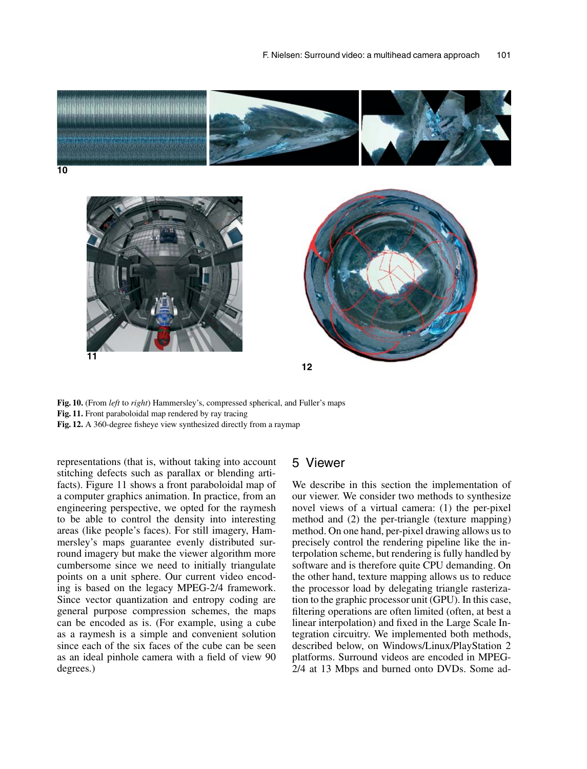

**Fig. 10.** (From *left* to *right*) Hammersley's, compressed spherical, and Fuller's maps **Fig. 11.** Front paraboloidal map rendered by ray tracing

**Fig. 12.** A 360-degree fisheye view synthesized directly from a raymap

representations (that is, without taking into account stitching defects such as parallax or blending artifacts). Figure 11 shows a front paraboloidal map of a computer graphics animation. In practice, from an engineering perspective, we opted for the raymesh to be able to control the density into interesting areas (like people's faces). For still imagery, Hammersley's maps guarantee evenly distributed surround imagery but make the viewer algorithm more cumbersome since we need to initially triangulate points on a unit sphere. Our current video encoding is based on the legacy MPEG-2/4 framework. Since vector quantization and entropy coding are general purpose compression schemes, the maps can be encoded as is. (For example, using a cube as a raymesh is a simple and convenient solution since each of the six faces of the cube can be seen as an ideal pinhole camera with a field of view 90 degrees.)

## 5 Viewer

We describe in this section the implementation of our viewer. We consider two methods to synthesize novel views of a virtual camera: (1) the per-pixel method and (2) the per-triangle (texture mapping) method. On one hand, per-pixel drawing allows us to precisely control the rendering pipeline like the interpolation scheme, but rendering is fully handled by software and is therefore quite CPU demanding. On the other hand, texture mapping allows us to reduce the processor load by delegating triangle rasterization to the graphic processor unit (GPU). In this case, filtering operations are often limited (often, at best a linear interpolation) and fixed in the Large Scale Integration circuitry. We implemented both methods, described below, on Windows/Linux/PlayStation 2 platforms. Surround videos are encoded in MPEG-2/4 at 13 Mbps and burned onto DVDs. Some ad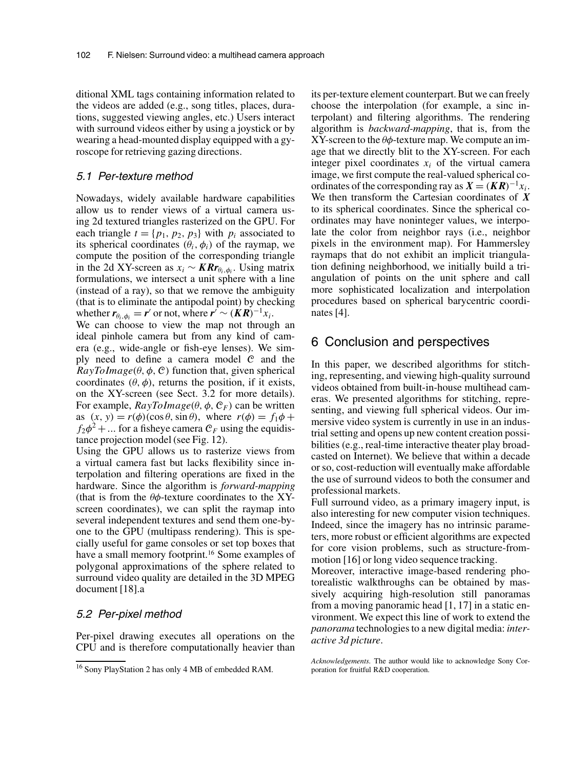ditional XML tags containing information related to the videos are added (e.g., song titles, places, durations, suggested viewing angles, etc.) Users interact with surround videos either by using a joystick or by wearing a head-mounted display equipped with a gyroscope for retrieving gazing directions.

#### 5.1 Per-texture method

Nowadays, widely available hardware capabilities allow us to render views of a virtual camera using 2d textured triangles rasterized on the GPU. For each triangle  $t = \{p_1, p_2, p_3\}$  with  $p_i$  associated to its spherical coordinates  $(\theta_i, \phi_i)$  of the raymap, we compute the position of the corresponding triangle in the 2d XY-screen as  $x_i$  ∼ *KRr*<sub>θi, $\phi_i$ </sub>. Using matrix formulations, we intersect a unit sphere with a line (instead of a ray), so that we remove the ambiguity (that is to eliminate the antipodal point) by checking whether  $r_{\theta_i, \phi_i} = r'$  or not, where  $r' \sim (KR)^{-1}x_i$ . We can choose to view the map not through an

ideal pinhole camera but from any kind of camera (e.g., wide-angle or fish-eye lenses). We simply need to define a camera model C and the  $RayTolmage(\theta, \phi, \mathcal{C})$  function that, given spherical coordinates  $(\theta, \phi)$ , returns the position, if it exists, on the XY-screen (see Sect. 3.2 for more details). For example,  $RayToImage(\theta, \phi, C_F)$  can be written as  $(x, y) = r(\phi)(\cos \theta, \sin \theta)$ , where  $r(\phi) = f_1 \phi +$  $f_2\phi^2$  + ... for a fisheye camera  $\mathcal{C}_F$  using the equidistance projection model (see Fig. 12).

Using the GPU allows us to rasterize views from a virtual camera fast but lacks flexibility since interpolation and filtering operations are fixed in the hardware. Since the algorithm is *forward-mapping* (that is from the  $\theta\phi$ -texture coordinates to the XYscreen coordinates), we can split the raymap into several independent textures and send them one-byone to the GPU (multipass rendering). This is specially useful for game consoles or set top boxes that have a small memory footprint.<sup>16</sup> Some examples of polygonal approximations of the sphere related to surround video quality are detailed in the 3D MPEG document [18].a

#### 5.2 Per-pixel method

Per-pixel drawing executes all operations on the CPU and is therefore computationally heavier than its per-texture element counterpart. But we can freely choose the interpolation (for example, a sinc interpolant) and filtering algorithms. The rendering algorithm is *backward-mapping*, that is, from the XY-screen to the  $\theta\phi$ -texture map. We compute an image that we directly blit to the XY-screen. For each integer pixel coordinates  $x_i$  of the virtual camera image, we first compute the real-valued spherical coordinates of the corresponding ray as  $X = (KR)^{-1}x_i$ . We then transform the Cartesian coordinates of *X* to its spherical coordinates. Since the spherical coordinates may have noninteger values, we interpolate the color from neighbor rays (i.e., neighbor pixels in the environment map). For Hammersley raymaps that do not exhibit an implicit triangulation defining neighborhood, we initially build a triangulation of points on the unit sphere and call more sophisticated localization and interpolation procedures based on spherical barycentric coordinates [4].

## 6 Conclusion and perspectives

In this paper, we described algorithms for stitching, representing, and viewing high-quality surround videos obtained from built-in-house multihead cameras. We presented algorithms for stitching, representing, and viewing full spherical videos. Our immersive video system is currently in use in an industrial setting and opens up new content creation possibilities (e.g., real-time interactive theater play broadcasted on Internet). We believe that within a decade or so, cost-reduction will eventually make affordable the use of surround videos to both the consumer and professional markets.

Full surround video, as a primary imagery input, is also interesting for new computer vision techniques. Indeed, since the imagery has no intrinsic parameters, more robust or efficient algorithms are expected for core vision problems, such as structure-frommotion [16] or long video sequence tracking.

Moreover, interactive image-based rendering photorealistic walkthroughs can be obtained by massively acquiring high-resolution still panoramas from a moving panoramic head [1, 17] in a static environment. We expect this line of work to extend the *panorama* technologies to a new digital media: *interactive 3d picture*.

<sup>16</sup> Sony PlayStation 2 has only 4 MB of embedded RAM.

*Acknowledgements.* The author would like to acknowledge Sony Corporation for fruitful R&D cooperation.